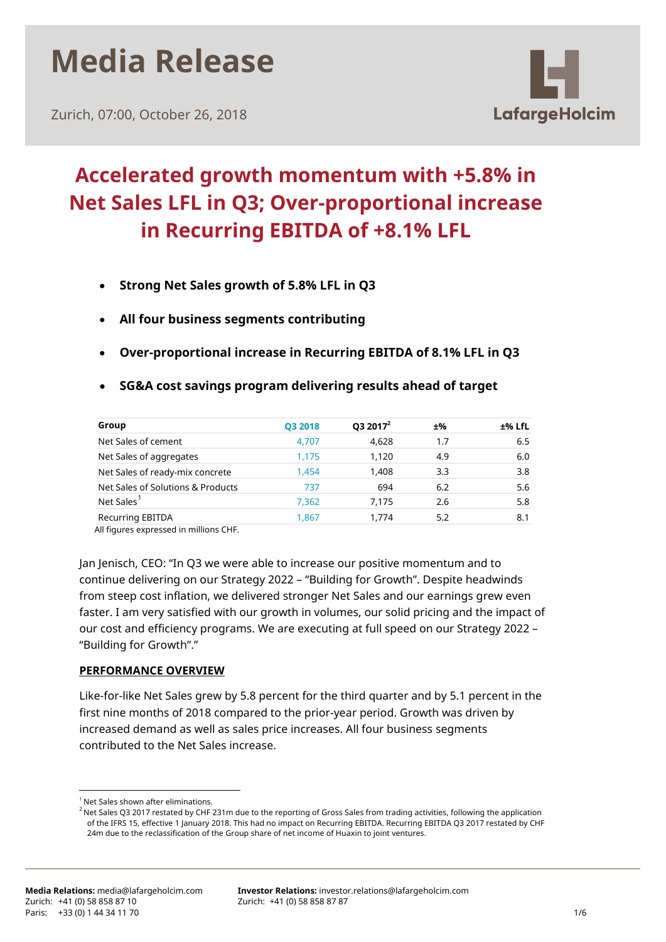

Zurich, 07:00, October 26, 2018



## **Accelerated growth momentum with +5.8% in Net Sales LFL in Q3; Over-proportional increase in Recurring EBITDA of +8.1% LFL**

- **Strong Net Sales growth of 5.8% LFL in Q3**
- **All four business segments contributing**
- **Over-proportional increase in Recurring EBITDA of 8.1% LFL in Q3**
- **SG&A cost savings program delivering results ahead of target**

| Group                             | <b>Q3 2018</b> | $Q32017^2$ | ±%  | ±% LfL |
|-----------------------------------|----------------|------------|-----|--------|
| Net Sales of cement               | 4,707          | 4,628      | 1.7 | 6.5    |
| Net Sales of aggregates           | 1.175          | 1.120      | 4.9 | 6.0    |
| Net Sales of ready-mix concrete   | 1.454          | 1.408      | 3.3 | 3.8    |
| Net Sales of Solutions & Products | 737            | 694        | 6.2 | 5.6    |
| Net Sales <sup>1</sup>            | 7.362          | 7.175      | 2.6 | 5.8    |
| <b>Recurring EBITDA</b>           | 1,867          | 1.774      | 5.2 | 8.1    |

All figures expressed in millions CHF.

Jan Jenisch, CEO: "In Q3 we were able to increase our positive momentum and to continue delivering on our Strategy 2022 – "Building for Growth". Despite headwinds from steep cost inflation, we delivered stronger Net Sales and our earnings grew even faster. I am very satisfied with our growth in volumes, our solid pricing and the impact of our cost and efficiency programs. We are executing at full speed on our Strategy 2022 – "Building for Growth"."

## **PERFORMANCE OVERVIEW**

Like-for-like Net Sales grew by 5.8 percent for the third quarter and by 5.1 percent in the first nine months of 2018 compared to the prior-year period. Growth was driven by increased demand as well as sales price increases. All four business segments contributed to the Net Sales increase.

<span id="page-0-0"></span><sup>&</sup>lt;sup>1</sup> Net Sales shown after eliminations.

<sup>&</sup>lt;sup>2</sup> Net Sales Q3 2017 restated by CHF 231m due to the reporting of Gross Sales from trading activities, following the application of the IFRS 15, effective 1 January 2018. This had no impact on Recurring EBITDA. Recurring EBITDA Q3 2017 restated by CHF 24m due to the reclassification of the Group share of net income of Huaxin to joint ventures.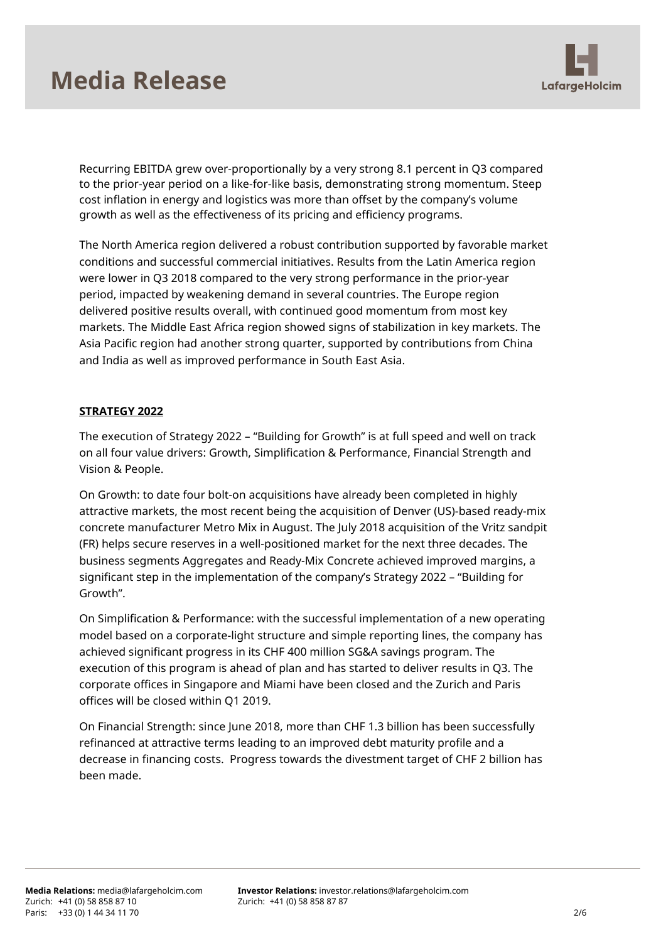# **Media Release**



Recurring EBITDA grew over-proportionally by a very strong 8.1 percent in Q3 compared to the prior-year period on a like-for-like basis, demonstrating strong momentum. Steep cost inflation in energy and logistics was more than offset by the company's volume growth as well as the effectiveness of its pricing and efficiency programs.

The North America region delivered a robust contribution supported by favorable market conditions and successful commercial initiatives. Results from the Latin America region were lower in Q3 2018 compared to the very strong performance in the prior-year period, impacted by weakening demand in several countries. The Europe region delivered positive results overall, with continued good momentum from most key markets. The Middle East Africa region showed signs of stabilization in key markets. The Asia Pacific region had another strong quarter, supported by contributions from China and India as well as improved performance in South East Asia.

## **STRATEGY 2022**

The execution of Strategy 2022 – "Building for Growth" is at full speed and well on track on all four value drivers: Growth, Simplification & Performance, Financial Strength and Vision & People.

On Growth: to date four bolt-on acquisitions have already been completed in highly attractive markets, the most recent being the acquisition of Denver (US)-based ready-mix concrete manufacturer Metro Mix in August. The July 2018 acquisition of the Vritz sandpit (FR) helps secure reserves in a well-positioned market for the next three decades. The business segments Aggregates and Ready-Mix Concrete achieved improved margins, a significant step in the implementation of the company's Strategy 2022 – "Building for Growth".

On Simplification & Performance: with the successful implementation of a new operating model based on a corporate-light structure and simple reporting lines, the company has achieved significant progress in its CHF 400 million SG&A savings program. The execution of this program is ahead of plan and has started to deliver results in Q3. The corporate offices in Singapore and Miami have been closed and the Zurich and Paris offices will be closed within Q1 2019.

On Financial Strength: since June 2018, more than CHF 1.3 billion has been successfully refinanced at attractive terms leading to an improved debt maturity profile and a decrease in financing costs. Progress towards the divestment target of CHF 2 billion has been made.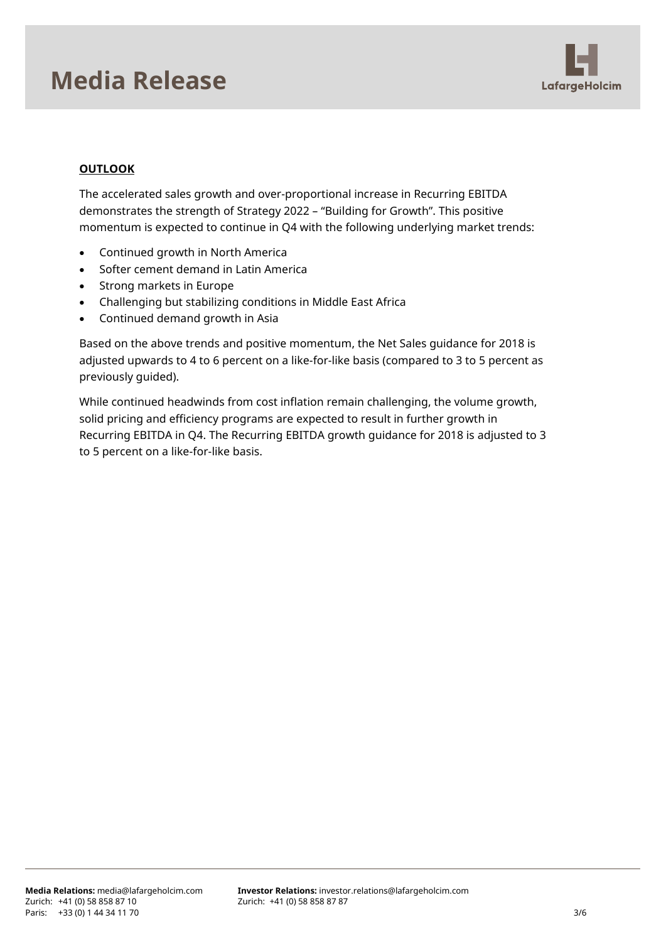## **Media Release**



## **OUTLOOK**

The accelerated sales growth and over-proportional increase in Recurring EBITDA demonstrates the strength of Strategy 2022 – "Building for Growth". This positive momentum is expected to continue in Q4 with the following underlying market trends:

- Continued growth in North America
- Softer cement demand in Latin America
- Strong markets in Europe
- Challenging but stabilizing conditions in Middle East Africa
- Continued demand growth in Asia

Based on the above trends and positive momentum, the Net Sales guidance for 2018 is adjusted upwards to 4 to 6 percent on a like-for-like basis (compared to 3 to 5 percent as previously guided).

While continued headwinds from cost inflation remain challenging, the volume growth, solid pricing and efficiency programs are expected to result in further growth in Recurring EBITDA in Q4. The Recurring EBITDA growth guidance for 2018 is adjusted to 3 to 5 percent on a like-for-like basis.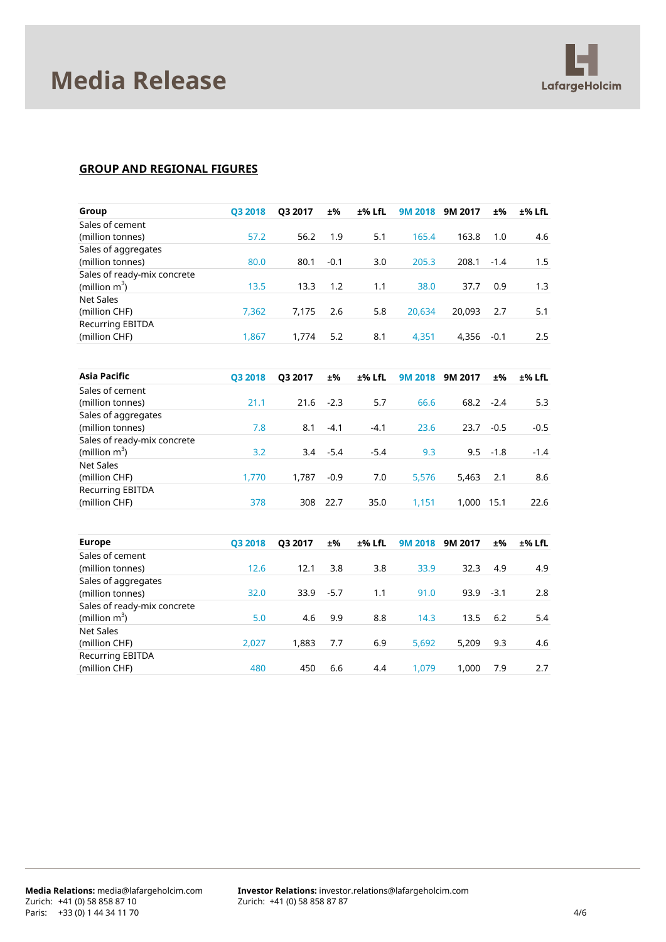

### **GROUP AND REGIONAL FIGURES**

| Group                       | Q3 2018 | Q3 2017 | ±%     | ±% LfL | <b>9M 2018</b> | 9M 2017 | ±%     | ±% LfL   |
|-----------------------------|---------|---------|--------|--------|----------------|---------|--------|----------|
| Sales of cement             |         |         |        |        |                |         |        |          |
| (million tonnes)            | 57.2    | 56.2    | 1.9    | 5.1    | 165.4          | 163.8   | 1.0    | 4.6      |
| Sales of aggregates         |         |         |        |        |                |         |        |          |
| (million tonnes)            | 80.0    | 80.1    | $-0.1$ | 3.0    | 205.3          | 208.1   | $-1.4$ | 1.5      |
| Sales of ready-mix concrete |         |         |        |        |                |         |        |          |
| (million $m^3$ )            | 13.5    | 13.3    | 1.2    | 1.1    | 38.0           | 37.7    | 0.9    | 1.3      |
| <b>Net Sales</b>            |         |         |        |        |                |         |        |          |
| (million CHF)               | 7,362   | 7,175   | 2.6    | 5.8    | 20,634         | 20,093  | 2.7    | 5.1      |
| <b>Recurring EBITDA</b>     |         |         |        |        |                |         |        |          |
| (million CHF)               | 1,867   | 1,774   | 5.2    | 8.1    | 4,351          | 4,356   | $-0.1$ | 2.5      |
|                             |         |         |        |        |                |         |        |          |
| <b>Asia Pacific</b>         | Q3 2018 | Q3 2017 | ±%     | ±% LfL | 9M 2018        | 9M 2017 | ±%     | $±%$ LfL |
| Sales of cement             |         |         |        |        |                |         |        |          |
| (million tonnes)            | 21.1    | 21.6    | $-2.3$ | 5.7    | 66.6           | 68.2    | $-2.4$ | 5.3      |
| Sales of aggregates         |         |         |        |        |                |         |        |          |
| (million tonnes)            | 7.8     | 8.1     | $-4.1$ | $-4.1$ | 23.6           | 23.7    | $-0.5$ | $-0.5$   |
| Sales of ready-mix concrete |         |         |        |        |                |         |        |          |
| (million $m^3$ )            | 3.2     | 3.4     | $-5.4$ | $-5.4$ | 9.3            | 9.5     | $-1.8$ | $-1.4$   |
| <b>Net Sales</b>            |         |         |        |        |                |         |        |          |
| (million CHF)               | 1,770   | 1,787   | $-0.9$ | 7.0    | 5,576          | 5,463   | 2.1    | 8.6      |
| <b>Recurring EBITDA</b>     |         |         |        |        |                |         |        |          |
| (million CHF)               | 378     | 308     | 22.7   | 35.0   | 1,151          | 1,000   | 15.1   | 22.6     |
|                             |         |         |        |        |                |         |        |          |
| <b>Europe</b>               | Q3 2018 | Q3 2017 | ±%     | ±% LfL | <b>9M 2018</b> | 9M 2017 | ±%     | ±% LfL   |
| Sales of cement             |         |         |        |        |                |         |        |          |
| (million tonnes)            | 12.6    | 12.1    | 3.8    | 3.8    | 33.9           | 32.3    | 4.9    | 4.9      |
| Sales of aggregates         |         |         |        |        |                |         |        |          |
| (million tonnes)            | 32.0    | 33.9    | $-5.7$ | 1.1    | 91.0           | 93.9    | $-3.1$ | 2.8      |
| Sales of ready-mix concrete |         |         |        |        |                |         |        |          |
| (million $m^3$ )            | 5.0     | 4.6     | 9.9    | 8.8    | 14.3           | 13.5    | 6.2    | 5.4      |
| <b>Net Sales</b>            |         |         |        |        |                |         |        |          |
| (million CHF)               | 2,027   | 1,883   | 7.7    | 6.9    | 5,692          | 5,209   | 9.3    | 4.6      |
| <b>Recurring EBITDA</b>     |         |         |        |        |                |         |        |          |
| (million CHF)               | 480     | 450     | 6.6    | 4.4    | 1,079          | 1,000   | 7.9    | 2.7      |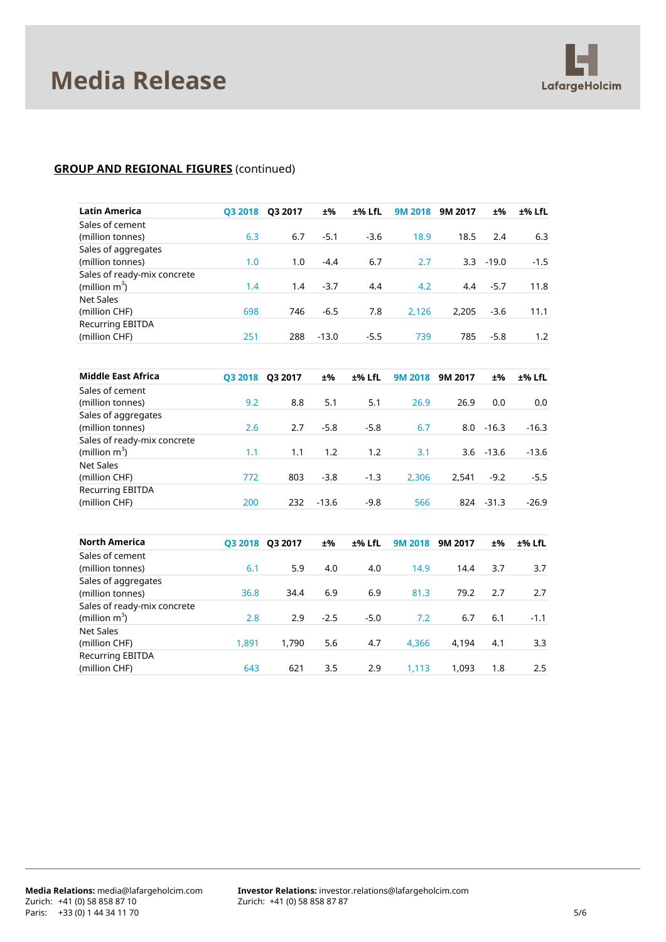

## **GROUP AND REGIONAL FIGURES** (continued)

| <b>Latin America</b>        | Q3 2018 | Q3 2017 | ±%      | ±% LfL | <b>9M 2018</b> | 9M 2017 | ±%      | ±% LfL  |
|-----------------------------|---------|---------|---------|--------|----------------|---------|---------|---------|
| Sales of cement             |         |         |         |        |                |         |         |         |
| (million tonnes)            | 6.3     | 6.7     | $-5.1$  | $-3.6$ | 18.9           | 18.5    | 2.4     | 6.3     |
| Sales of aggregates         |         |         |         |        |                |         |         |         |
| (million tonnes)            | 1.0     | 1.0     | $-4.4$  | 6.7    | 2.7            | 3.3     | $-19.0$ | $-1.5$  |
| Sales of ready-mix concrete |         |         |         |        |                |         |         |         |
| (million $m^3$ )            | 1.4     | 1.4     | $-3.7$  | 4.4    | 4.2            | 4.4     | $-5.7$  | 11.8    |
| <b>Net Sales</b>            |         |         |         |        |                |         |         |         |
| (million CHF)               | 698     | 746     | $-6.5$  | 7.8    | 2,126          | 2,205   | $-3.6$  | 11.1    |
| <b>Recurring EBITDA</b>     |         |         |         |        |                |         |         |         |
| (million CHF)               | 251     | 288     | $-13.0$ | $-5.5$ | 739            | 785     | $-5.8$  | 1.2     |
|                             |         |         |         |        |                |         |         |         |
| <b>Middle East Africa</b>   | Q3 2018 | Q3 2017 | ±%      | ±% LfL | <b>9M 2018</b> | 9M 2017 | ±%      | ±% LfL  |
| Sales of cement             |         |         |         |        |                |         |         |         |
| (million tonnes)            | 9.2     | 8.8     | 5.1     | 5.1    | 26.9           | 26.9    | 0.0     | 0.0     |
| Sales of aggregates         |         |         |         |        |                |         |         |         |
| (million tonnes)            | 2.6     | 2.7     | $-5.8$  | $-5.8$ | 6.7            | 8.0     | $-16.3$ | $-16.3$ |
| Sales of ready-mix concrete |         |         |         |        |                |         |         |         |
| (million $m^3$ )            | 1.1     | 1.1     | 1.2     | 1.2    | 3.1            | 3.6     | $-13.6$ | $-13.6$ |
| <b>Net Sales</b>            |         |         |         |        |                |         |         |         |
| (million CHF)               | 772     | 803     | $-3.8$  | $-1.3$ | 2,306          | 2,541   | $-9.2$  | $-5.5$  |
| <b>Recurring EBITDA</b>     |         |         |         |        |                |         |         |         |
| (million CHF)               | 200     | 232     | $-13.6$ | $-9.8$ | 566            | 824     | $-31.3$ | $-26.9$ |
|                             |         |         |         |        |                |         |         |         |
| <b>North America</b>        | Q3 2018 | Q3 2017 | ±%      | ±% LfL | <b>9M 2018</b> | 9M 2017 | ±%      | ±% LfL  |
| Sales of cement             |         |         |         |        |                |         |         |         |
| (million tonnes)            | 6.1     | 5.9     | 4.0     | 4.0    | 14.9           | 14.4    | 3.7     | 3.7     |
| Sales of aggregates         |         |         |         |        |                |         |         |         |
| (million tonnes)            | 36.8    | 34.4    | 6.9     | 6.9    | 81.3           | 79.2    | 2.7     | 2.7     |
| Sales of ready-mix concrete |         |         |         |        |                |         |         |         |
| (million $m^3$ )            | 2.8     | 2.9     | $-2.5$  | $-5.0$ | 7.2            | 6.7     | 6.1     | $-1.1$  |
| <b>Net Sales</b>            |         |         |         |        |                |         |         |         |
| (million CHF)               | 1,891   | 1,790   | 5.6     | 4.7    | 4,366          | 4,194   | 4.1     | 3.3     |
| <b>Recurring EBITDA</b>     |         |         |         |        |                |         |         |         |
| (million CHF)               | 643     | 621     | 3.5     | 2.9    | 1,113          | 1,093   | 1.8     | 2.5     |